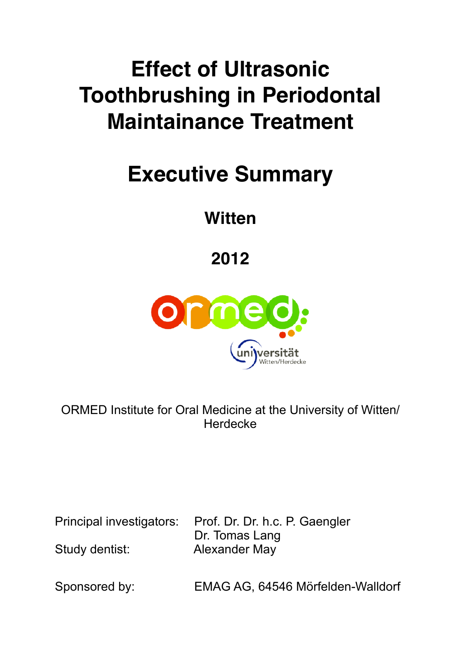## **Effect of Ultrasonic Toothbrushing in Periodontal Maintainance Treatment**

## **Executive Summary**

**Witten**

**2012**



ORMED Institute for Oral Medicine at the University of Witten/ **Herdecke** 

Principal investigators: Prof. Dr. Dr. h.c. P. Gaengler Dr. Tomas Lang Study dentist: Alexander May

Sponsored by: EMAG AG, 64546 Mörfelden-Walldorf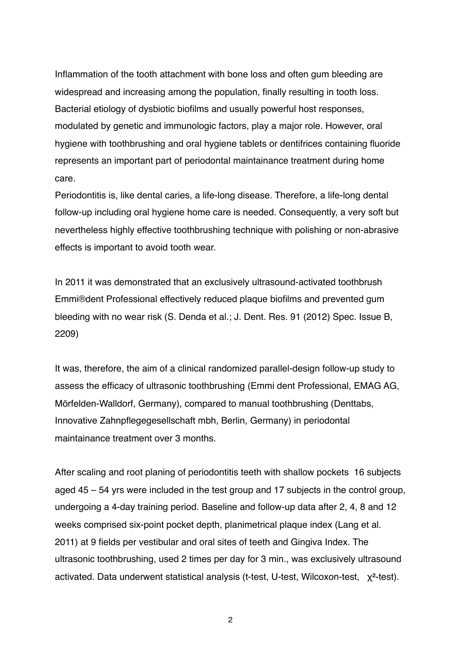Inflammation of the tooth attachment with bone loss and often gum bleeding are widespread and increasing among the population, finally resulting in tooth loss. Bacterial etiology of dysbiotic biofilms and usually powerful host responses, modulated by genetic and immunologic factors, play a major role. However, oral hygiene with toothbrushing and oral hygiene tablets or dentifrices containing fluoride represents an important part of periodontal maintainance treatment during home care.

Periodontitis is, like dental caries, a life-long disease. Therefore, a life-long dental follow-up including oral hygiene home care is needed. Consequently, a very soft but nevertheless highly effective toothbrushing technique with polishing or non-abrasive effects is important to avoid tooth wear.

In 2011 it was demonstrated that an exclusively ultrasound-activated toothbrush Emmi®dent Professional effectively reduced plaque biofilms and prevented gum bleeding with no wear risk (S. Denda et al.; J. Dent. Res. 91 (2012) Spec. Issue B, 2209)

It was, therefore, the aim of a clinical randomized parallel-design follow-up study to assess the efficacy of ultrasonic toothbrushing (Emmi dent Professional, EMAG AG, Mörfelden-Walldorf, Germany), compared to manual toothbrushing (Denttabs, Innovative Zahnpflegegesellschaft mbh, Berlin, Germany) in periodontal maintainance treatment over 3 months.

After scaling and root planing of periodontitis teeth with shallow pockets 16 subjects aged 45 – 54 yrs were included in the test group and 17 subjects in the control group, undergoing a 4-day training period. Baseline and follow-up data after 2, 4, 8 and 12 weeks comprised six-point pocket depth, planimetrical plaque index (Lang et al. 2011) at 9 fields per vestibular and oral sites of teeth and Gingiva Index. The ultrasonic toothbrushing, used 2 times per day for 3 min., was exclusively ultrasound activated. Data underwent statistical analysis (t-test, U-test, Wilcoxon-test, χ<sup>2</sup>-test).

2